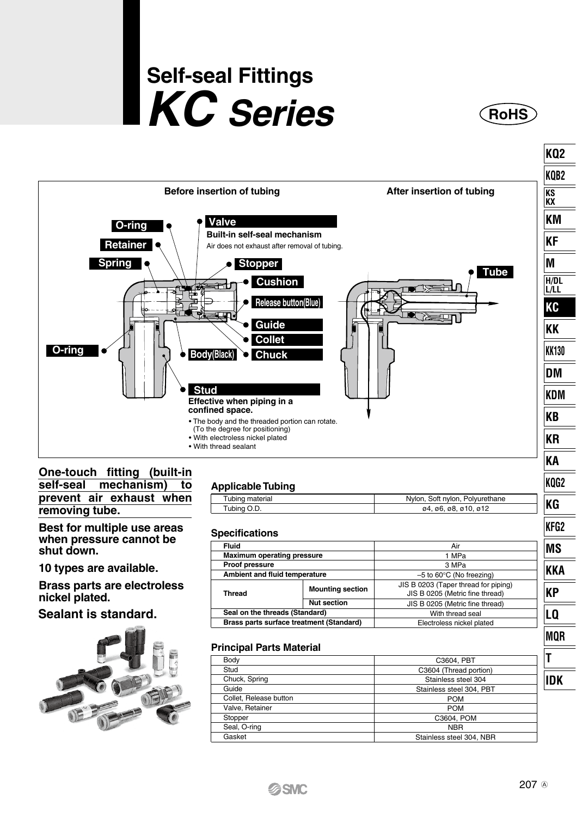# **Self-seal Fittings KC Series RoHS**





Gasket

Seal, O-ring

NBR Stainless steel 304, NBR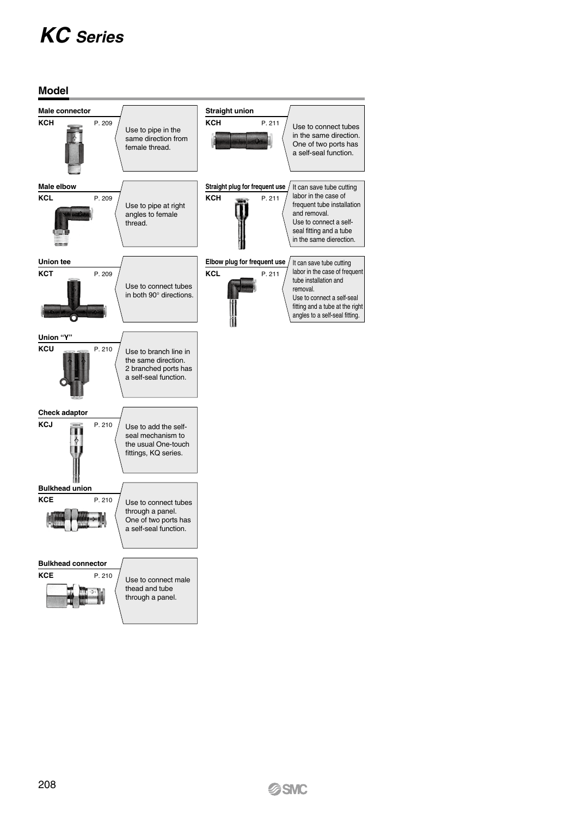## *KC Series*

**Model**

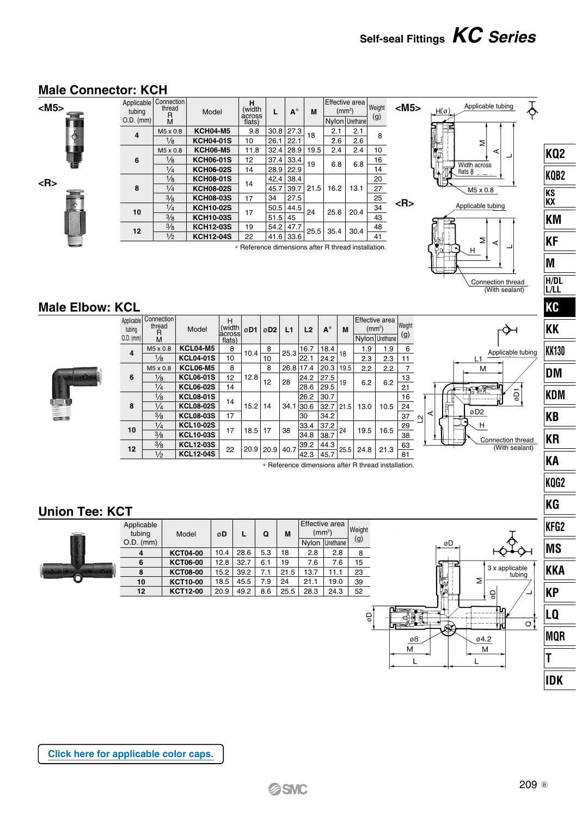### **Male Connector: KCH**

**<R>**



| <m5></m5> | Applicable<br>tubing | Connection<br>thread<br>R | Model            | н<br>(width<br>across                               | L    | $A^*$     | M    | Effective area<br>(mm <sup>2</sup> ) |                | Weight | $<$ M5 $>$ |
|-----------|----------------------|---------------------------|------------------|-----------------------------------------------------|------|-----------|------|--------------------------------------|----------------|--------|------------|
|           | $O.D.$ (mm)          | M                         |                  | flats)                                              |      |           |      |                                      | Nylon Urethane | (g)    |            |
|           | 4                    | M5 x 0.8                  | <b>KCH04-M5</b>  | 9.8                                                 | 30.8 | 27.3      | 18   | 2.1                                  | 2.1            | 8      |            |
|           |                      | $\frac{1}{8}$             | <b>KCH04-01S</b> | 10                                                  | 26.1 | 22.1      |      | 2.6                                  | 2.6            |        |            |
|           |                      | M5 x 0.8                  | <b>KCH06-M5</b>  | 11.8                                                | 32.4 | 28.9      | 19.5 | 2.4                                  | 2.4            | 10     |            |
| 嘗         | 6                    | $\frac{1}{8}$             | <b>KCH06-01S</b> | 12                                                  | 37.4 | 33.4      | 19   | 6.8                                  | 6.8            | 16     |            |
|           |                      | $\frac{1}{4}$             | <b>KCH06-02S</b> | 14                                                  | 28.9 | 22.9      |      |                                      |                | 14     |            |
| <r></r>   |                      | $\frac{1}{8}$             | <b>KCH08-01S</b> |                                                     | 42.4 | 38.4      |      |                                      |                | 20     |            |
|           | 8                    | 1/4                       | <b>KCH08-02S</b> | 14                                                  | 45.7 | 39.7      | 21.5 | 16.2                                 | 13.1           | 27     |            |
|           |                      | 3/8                       | <b>KCH08-03S</b> | 17                                                  | 34   | 27.5      |      |                                      |                | 25     |            |
|           | 10                   | $\frac{1}{4}$             | <b>KCH10-02S</b> | 17                                                  | 50.5 | 44.5      | 24   | 25.6                                 | 20.4           | 34     | <r></r>    |
|           |                      | 3/8                       | <b>KCH10-03S</b> |                                                     | 51.5 | 45        |      |                                      |                | 43     |            |
|           | 12                   | 3/8                       | <b>KCH12-03S</b> | 19                                                  | 54.2 | 47.7      | 25.5 | 35.4                                 | 30.4           | 48     |            |
|           |                      | $\frac{1}{2}$             | <b>KCH12-04S</b> | 22                                                  |      | 41.6 33.6 |      |                                      |                | 41     |            |
|           |                      |                           |                  | * Reference dimensions after R thread installation. |      |           |      |                                      |                |        |            |

 $\overline{\phantom{a}}$  ( H  $\overline{\phantom{a}}$ 



Effective area

Σ Ł  $H$ 

Connection thread (With sealant)

**KQ2 KQB2 KS KX KM KF M H/DL L/LL KC KK KK130 DM KDM KB KR KA KQG2 KG KFG2 MS KKA KP LQ MQR T IDK**

 $\overline{\delta}$ 

L1 Applicable tubing

 $\overline{5}$ 

øD

îī

ब्रि

J.

ø8

 $\overline{M}$ L

ă

┌◇⊣

Connection thread (With sealant)

 $3x$  applicable tubing

ℶ

 $\overline{\circ}$ !

 $\overline{z}$ 

04.2  $\overline{M}$ 

L

Ğ

### **Male Elbow: KCL**



| Applicable   <br>tubing<br>$0.D.$ (mm) | Connection I<br>thread<br>R<br>M | Model            | н<br>(width<br>lacrossi<br>flats) | øD1  | øD <sub>2</sub> | L1        | L2                              | $A^*$ | M    | (mm <sup>2</sup> ) | Effective area<br>Nylon Urethane | Weight<br>(g) |                  |   |                 |    |
|----------------------------------------|----------------------------------|------------------|-----------------------------------|------|-----------------|-----------|---------------------------------|-------|------|--------------------|----------------------------------|---------------|------------------|---|-----------------|----|
| 4                                      | M5 x 0.8                         | <b>KCL04-M5</b>  | 8                                 | 10.4 | 8               | 25.3      | 16.7                            | 18.4  | 18   | 1.9                | 1.9                              | 6             |                  |   |                 |    |
|                                        | $\frac{1}{8}$                    | <b>KCL04-01S</b> | 10                                |      | 10              |           | 22.1                            | 24.2  |      | 2.3                | 2.3                              | 11            |                  |   | L1              |    |
|                                        | M5 x 0.8                         | <b>KCL06-M5</b>  | 8                                 |      | 8               | 26.8 17.4 |                                 | 20.3  | 19.5 | 2.2                | 2.2                              | 7             |                  |   |                 | M  |
| 6                                      | 1/8                              | <b>KCL06-01S</b> | 12                                | 12.8 | 12              | 28        | 24.2                            | 27.5  | 19   |                    |                                  | 13            |                  |   |                 |    |
|                                        | 1/4                              | <b>KCL06-02S</b> | 14                                |      |                 |           | 28.6                            | 29.5  |      | 6.2                | 6.2                              | 21            |                  |   | n Si            |    |
|                                        | $\frac{1}{8}$                    | <b>KCL08-01S</b> | 14                                |      |                 |           | 26.2                            | 30.7  |      |                    |                                  | 16            |                  |   |                 |    |
| 8                                      | $\frac{1}{4}$                    | <b>KCL08-02S</b> |                                   | 15.2 | 14              | 34.1 30.6 |                                 | 32.7  | 21.5 | 13.0               | 10.5                             | 24            |                  |   | øD <sub>2</sub> |    |
|                                        | 3/8                              | <b>KCL08-03S</b> | 17                                |      |                 |           | 30                              | 34.2  |      |                    |                                  | 37            | ⋖<br><u>୍</u> ୟା | н |                 |    |
| 10                                     | $\frac{1}{4}$                    | <b>KCL10-02S</b> | 17                                | 18.5 | 17              | 38        | 33.4                            | 37.2  | 24   | 19.5               | 16.5                             | 29            |                  |   |                 | H  |
|                                        | 3/8                              | <b>KCL10-03S</b> |                                   |      |                 |           | 34.8                            | 38.7  |      |                    |                                  | 38            |                  |   |                 | Co |
| 12                                     | 3/8                              | <b>KCL12-03S</b> | 22                                | 20.9 | 20.9            |           | $\cdot$   40.7 $\frac{39.2}{ }$ | 44.3  | 25.5 |                    |                                  | 63            |                  |   |                 |    |
|                                        | $\frac{1}{2}$                    | <b>KCL12-04S</b> |                                   |      |                 |           | 42.3                            | 45.7  |      | 24.8               | 21.3                             | 81            |                  |   |                 |    |

∗ Reference dimensions after R thread installation.

### **Union Tee: KCT**



| - -                  |                 |      |      |     |      |                                      |          |               |
|----------------------|-----------------|------|------|-----|------|--------------------------------------|----------|---------------|
| Applicable<br>tubing | Model           | øD   | L    | Q   | M    | Effective area<br>(mm <sup>2</sup> ) |          | Weight<br>(g) |
| $O.D.$ (mm)          |                 |      |      |     |      | Nvlon                                | Urethane |               |
| 4                    | <b>KCT04-00</b> | 10.4 | 28.6 | 5.3 | 18   | 2.8                                  | 2.8      | 8             |
| 6                    | <b>KCT06-00</b> | 12.8 | 32.7 | 6.1 | 19   | 7.6                                  | 7.6      | 15            |
| 8                    | <b>KCT08-00</b> | 15.2 | 39.2 | 7.1 | 21.5 | 13.7                                 | 11.1     | 23            |
| 10                   | KCT10-00        | 18.5 | 45.5 | 7.9 | 24   | 21.1                                 | 19.0     | 39            |
| 12                   | KCT12-00        | 20.9 | 49.2 | 8.6 | 25.5 | 28.3                                 | 24.3     | 52            |
|                      |                 |      |      |     |      |                                      |          |               |

**[Click here for applicable color caps.](http://www.smcworld.com/catalog/New-products-en/pdf/es50-37-kq2-ColorCap.pdf)**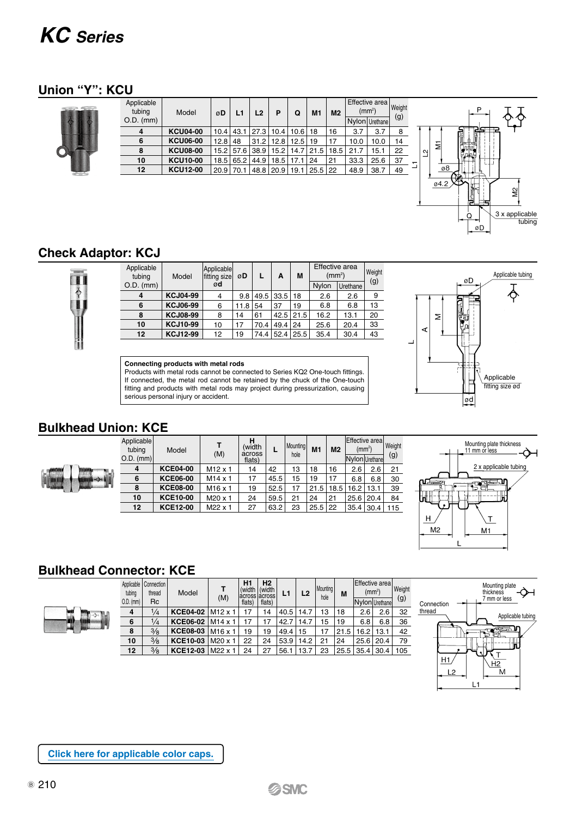### *KC Series*

### **Union "Y": KCU**

|               | Applicable<br>tubing<br>$O.D.$ (mm) | Model           | øD          | L1 | L2             | P                                | Q           | M1   | M <sub>2</sub> | (mm <sup>2</sup> )<br>Nylon Urethane | Effective area | Weight<br>(g) |             |          |             |                               |
|---------------|-------------------------------------|-----------------|-------------|----|----------------|----------------------------------|-------------|------|----------------|--------------------------------------|----------------|---------------|-------------|----------|-------------|-------------------------------|
|               |                                     | <b>KCU04-00</b> | $10.4$ 43.1 |    | 27.3           | 10.4                             | $10.6$   18 |      | 16             | 3.7                                  | 3.7            | 8             |             |          | 125         |                               |
|               | 6                                   | <b>KCU06-00</b> | $12.8$ 48   |    | 31.2           | 12.8                             | $12.5$   19 |      | 17             | 10.0                                 | 10.0           | 14            |             | Ξ        |             |                               |
|               | ន                                   | <b>KCU08-00</b> |             |    | 15.2 57.6 38.9 | 15.2                             | 14.7        | 21.5 | 18.5           | 21.7                                 | 15.1           | 22            | $\sim$<br>┙ |          |             |                               |
|               | 10                                  | <b>KCU10-00</b> |             |    | 18.5 65.2 44.9 | 18.5                             | $17.1$   24 |      | 21             | 33.3                                 | 25.6           | 37            |             |          |             |                               |
| <b>All Co</b> | 12                                  | <b>KCU12-00</b> |             |    |                | 20.9 70.1 48.8 20.9 19.1 25.5 22 |             |      |                | 48.9                                 | 38.7           | 49            |             | ø8       |             |                               |
|               |                                     |                 |             |    |                |                                  |             |      |                |                                      |                |               |             | $04.2$ Y | m.<br>كبتال | 읭<br>3 x applicable<br>tubina |

### **Check Adaptor: KCJ**

中

ī

| Applicable<br>tubing | Model           | Applicable<br>fitting size | øD   | L    | A              | M  |       | Effective area<br>(mm <sup>2</sup> ) |     |
|----------------------|-----------------|----------------------------|------|------|----------------|----|-------|--------------------------------------|-----|
| $O.D.$ (mm)          |                 | ød                         |      |      |                |    | Nvlon | Urethane                             | (g) |
| 4                    | <b>KCJ04-99</b> |                            | 9.8  |      | 49.5 33.5 18   |    | 2.6   | 2.6                                  | 9   |
| 6                    | <b>KCJ06-99</b> | 6                          | 11.8 | 54   | 37             | 19 | 6.8   | 6.8                                  | 13  |
| 8                    | <b>KCJ08-99</b> | 8                          | 14   | 61   | $42.5$ 21.5    |    | 16.2  | 13.1                                 | 20  |
| 10                   | <b>KCJ10-99</b> | 10                         | 17   | 70.4 | 49.4 24        |    | 25.6  | 20.4                                 | 33  |
| 12                   | <b>KCJ12-99</b> | 12                         | 19   |      | 74.4 52.4 25.5 |    | 35.4  | 30.4                                 | 43  |

#### **Connecting products with metal rods**

Products with metal rods cannot be connected to Series KQ2 One-touch fittings. If connected, the metal rod cannot be retained by the chuck of the One-touch fitting and products with metal rods may project during pressurization, causing serious personal injury or accident.



øD

tubing

### **Bulkhead Union: KCE**

| ۹.<br>18<br>š | Ó |
|---------------|---|
|---------------|---|

|    | Applicable<br>tubing<br>$O.D.$ (mm) | Model           | т<br>(M)            | н<br>(width<br>across<br>flats) | L    | Mountinal<br>hole | M <sub>1</sub> | M <sub>2</sub> | Effective area<br>(mm <sup>2</sup> )<br>Nylon Urethanel |      | Weight<br>(g) |
|----|-------------------------------------|-----------------|---------------------|---------------------------------|------|-------------------|----------------|----------------|---------------------------------------------------------|------|---------------|
|    | 4                                   | <b>KCE04-00</b> | $M12 \times 1$      | 14                              | 42   | 13                | 18             | 16             | 2.6                                                     | 2.6  | 21            |
| Y. | 6                                   | <b>KCE06-00</b> | $M14 \times 1$      | 17                              | 45.5 | 15                | 19             | 17             | 6.8                                                     | 6.8  | 30            |
|    | 8                                   | <b>KCE08-00</b> | M <sub>16</sub> x 1 | 19                              | 52.5 | 17                | 21.5           | 18.5           | 16.2                                                    | 13.1 | 39            |
|    | 10                                  | <b>KCE10-00</b> | M20 x 1             | 24                              | 59.5 | 21                | 24             | 21             | 25.6                                                    | 20.4 | 84            |
|    | 12                                  | <b>KCE12-00</b> | M22 x 1             | 27                              | 63.2 | 23                | $25.5$ 22      |                | $35.4$ 30.4                                             |      | 115           |
|    |                                     |                 |                     |                                 |      |                   |                |                |                                                         |      |               |



### **Bulkhead Connector: KCE**



| tubing<br>$O.D.$ (mm) | Applicable   Connection  <br>thread<br><b>Rc</b> | Model              | (M)             | Η1<br>(width<br>acrossiacross<br>flats) | Н2<br>(width<br>flats) | L1        | L2   | Mounting<br>hole | M    | Effective area<br>(mm <sup>2</sup> )<br>Nylon Urethane |      | Weight<br>(g) |
|-----------------------|--------------------------------------------------|--------------------|-----------------|-----------------------------------------|------------------------|-----------|------|------------------|------|--------------------------------------------------------|------|---------------|
| 4                     | $\frac{1}{4}$                                    | <b>KCE04-02</b>    | $IM12 \times 1$ | 17                                      | 14                     | 40.5 14.7 |      | 13               | 18   | 2.6                                                    | 2.6  | 32            |
| 6                     | 1/4                                              | KCE06-02 M14 x 1   |                 | 17                                      | 17                     | 42.7      | 14.7 | 15               | 19   | 6.8                                                    | 6.8  | 36            |
| 8                     | 3/8                                              | <b>KCE08-03</b>    | $IM16 \times 1$ | 19                                      | 19                     | 49.4      | 15   |                  | 21.5 | 16.2                                                   | 13.1 | 42            |
| 10                    | 3/8                                              | KCE10-03           | M20 x 1         | 22                                      | 24                     | 53.9      | 14.2 | 21               | 24   | 25.6 20.4                                              |      | 79            |
| 12                    | 3/8                                              | KCE12-03   M22 x 1 |                 | 24                                      | 27                     | 56.1 13.7 |      | 23               |      | 25.5 35.4 30.4                                         |      | 105           |



**[Click here for applicable color caps.](http://www.smcworld.com/catalog/New-products-en/pdf/es50-37-kq2-ColorCap.pdf)**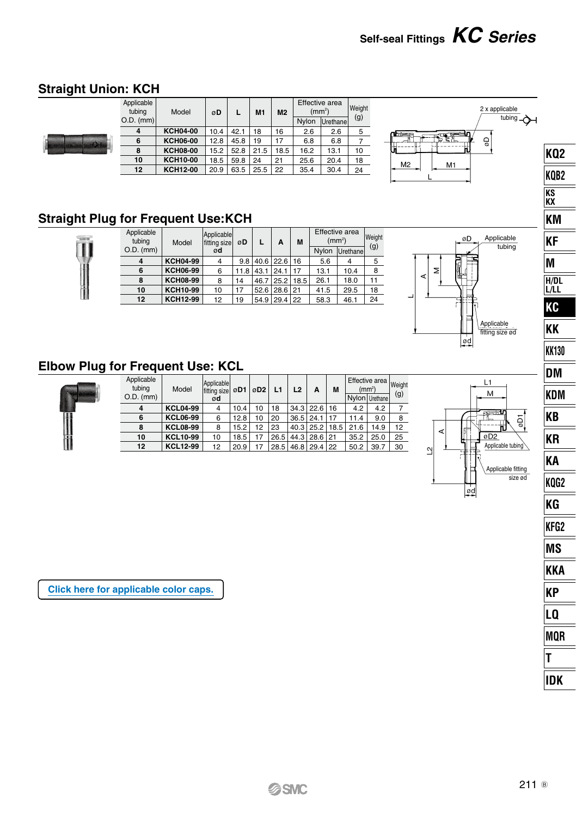### **Straight Union: KCH**

 $\overline{\mathbf{u}}$ 



### **Straight Plug for Frequent Use:KCH**

| Applicable<br>tubina | Model           | Applicablel<br>fitting size | øD          | L    | A            | M    |       | Effective area<br>(mm <sup>2</sup> ) |     |
|----------------------|-----------------|-----------------------------|-------------|------|--------------|------|-------|--------------------------------------|-----|
| $O.D.$ (mm)          |                 | ød                          |             |      |              |      | Nvlon | Urethane                             | (g) |
| 4                    | <b>KCH04-99</b> | $\overline{4}$              | 9.8         |      | 40.6 22.6    | 16   | 5.6   | 4                                    | 5   |
| 6                    | <b>KCH06-99</b> | 6                           | $11.8$ 43.1 |      | 124.1        | 17   | 13.1  | 10.4                                 | 8   |
| 8                    | <b>KCH08-99</b> | 8                           | 14          | 46.7 | 25.2         | 18.5 | 26.1  | 18.0                                 | 11  |
| 10                   | <b>KCH10-99</b> | 10                          | 17          | 52.6 | $28.6$  21   |      | 41.5  | 29.5                                 | 18  |
| 12                   | <b>KCH12-99</b> | 12                          | 19          |      | 54.9 29.4 22 |      | 58.3  | 46.1                                 | 24  |
|                      |                 |                             |             |      |              |      |       |                                      |     |



### **Elbow Plug for Frequent Use: KCL**

| Applicable<br>tubina<br>$O.D.$ (mm) | Model           | Applicable<br>fitting size   ØD1   ØD2  <br>ød |      |    | L1   | L <sub>2</sub> | A                 | M  | Effective area Weight<br>(mm <sup>2</sup> ) | Nylon Urethane | (g) |
|-------------------------------------|-----------------|------------------------------------------------|------|----|------|----------------|-------------------|----|---------------------------------------------|----------------|-----|
| 4                                   | <b>KCL04-99</b> | $\overline{4}$                                 | 10.4 | 10 | 18   |                | $34.3$   22.6     | 16 | 4.2                                         | 4.2            |     |
| 6                                   | <b>KCL06-99</b> | 6                                              | 12.8 | 10 | 20   |                | $36.5$   24.1     | 17 | 11.4                                        | 9.0            |     |
| 8                                   | <b>KCL08-99</b> | 8                                              | 15.2 | 12 | 23   |                | 40.3 25.2 18.5    |    | 21.6                                        | 14.9           | 12  |
| 10                                  | <b>KCL10-99</b> | 10                                             | 18.5 | 17 | 26.5 |                | 44.3 28.6 21      |    | 35.2                                        | 25.0           | 25  |
| 12                                  | <b>KCL12-99</b> | 12                                             | 20.9 | 17 |      |                | 28.5 46.8 29.4 22 |    | 50.2                                        | 39.7           | 30  |



**[Click here for applicable color caps.](http://www.smcworld.com/catalog/New-products-en/pdf/es50-37-kq2-ColorCap.pdf)**